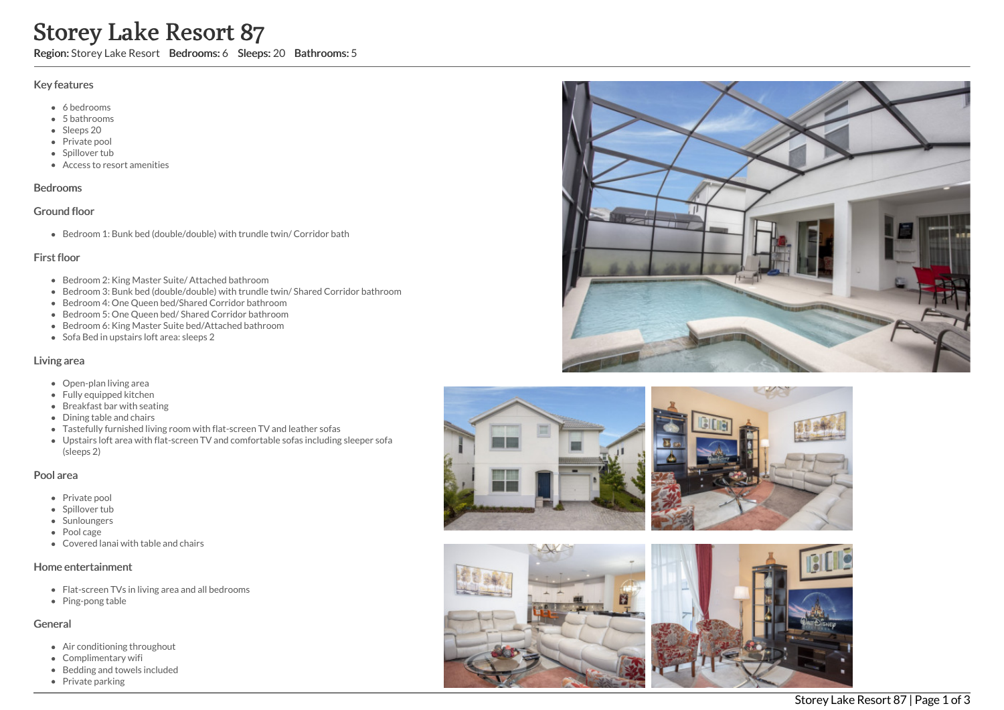# Storey Lake Resort 87

Region: Storey Lake Resort Bedrooms: 6 Sleeps: 20 Bathrooms: 5

#### Key features

- 6 b e d r o o m s
- 5 b a t h r o o m s
- Sleeps 20
- Private pool
- Spillover tub
- Access to resort amenities

#### **Bedrooms**

#### Ground floor

Bedroom 1: Bunk bed (double/double) with trundle twin/ Corridor bath

## First floor

- Bedroom 2: King Master Suite/ Attached bathroom
- Bedroom 3: Bunk bed (double/double) with trundle twin/ Shared Corridor bathroom
- Bedroom 4: One Queen bed/Shared Corridor bathroom
- Bedroom 5: One Queen bed/ Shared Corridor bathroom
- Bedroom 6: King Master Suite bed/Attached bathroom
- Sofa Bed in upstairs loft area: sleeps 2

## Living area

- Open-plan living area
- Fully equipped kitchen
- Breakfast bar with seating
- Dining table and chairs
- Tastefully furnished living room with flat-screen TV and leather sofas
- Upstairs loft area with flat-screen TV and comfortable sofas including sleeper sofa (sleeps 2)

#### Pool area

- Private pool
- Spillover tub
- Sunloungers
- Pool cage
- Covered lanai with table and chairs

#### Home entertainment

- Flat-screen TVs in living area and all bedrooms
- Ping-pong table

#### General

- Air conditioning throughout
- Complimentary wifi
- Bedding and towels in clu d e d
- Private parking







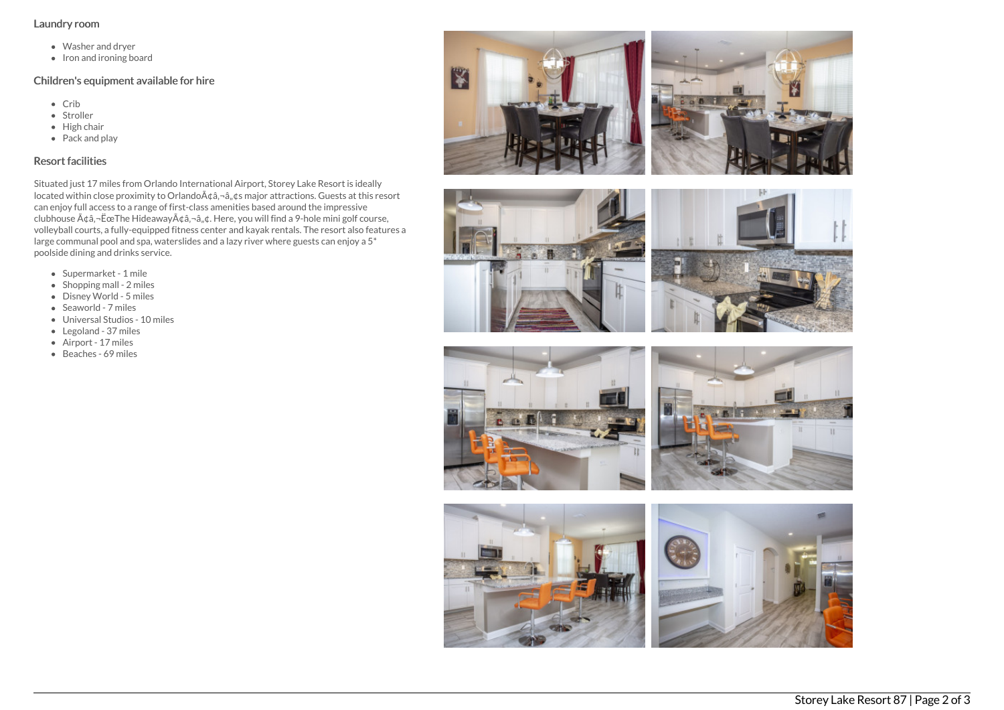## Laundry room

- Washer and dryer
- Iron and ironing board

## Children's equipment available for hire

- Crib
- Stroller
- $\bullet$  High chair
- Pack and play

## Resort facilities

Situated just 17 miles from Orlando International Airport, Storey Lake Resort is ideally located within close proximity to Orlando $A\phi$ ,  $\phi$ ,  $\phi$ s major attractions. Guests at this resort can enjoy full access to a range of first-class amenities based around the impressive clubhouse  $A \phi a$ , - Ëce The Hideaway $A \phi a$ , - $a$ ,  $\phi a$ . Here, you will find a 9-hole mini golf course, volleyball courts, a fully-equipped fitness center and kayak rentals. The resort also features a large communal pool and spa, waterslides and a lazy river where guests can enjoy a 5\* poolside dining and drinks service.

- Supermarket 1 mile
- $\bullet$  Shopping mall 2 miles
- Disney World 5 miles
- $\bullet$  Seaworld 7 miles
- Universal Studios 10 miles
- Legoland 37 miles
- Airport 17 miles
- Beaches 69 miles